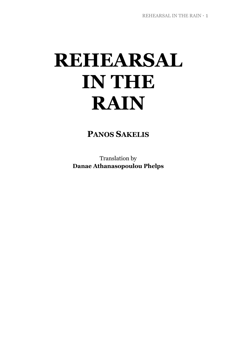# **REHEARSAL IN THE RAIN**

**PANOS SAKELIS**

Translation by **Danae Athanasopoulou Phelps**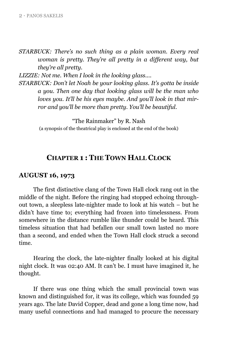*STARBUCK: There's no such thing as a plain woman. Every real woman is pretty. They're all pretty in a different way, but they're all pretty.*

*LIZZIE: Not me. When I look in the looking glass....* 

*STARBUCK: Don't let Noah be your looking glass. It's gotta be inside a you. Then one day that looking glass will be the man who loves you. It'll be his eyes maybe. And you'll look in that mirror and you'll be more than pretty. You'll be beautiful.*

> "The Rainmaker" by R. Nash (a synopsis of the theatrical play is enclosed at the end of the book)

## **CHAPTER 1 : THE TOWN HALL CLOCK**

#### **AUGUST 16, 1973**

The first distinctive clang of the Town Hall clock rang out in the middle of the night. Before the ringing had stopped echoing throughout town, a sleepless late-nighter made to look at his watch – but he didn"t have time to; everything had frozen into timelessness. From somewhere in the distance rumble like thunder could be heard. This timeless situation that had befallen our small town lasted no more than a second, and ended when the Town Hall clock struck a second time.

Hearing the clock, the late-nighter finally looked at his digital night clock. It was 02:40 AM. It can"t be. I must have imagined it*,* he thought.

If there was one thing which the small provincial town was known and distinguished for, it was its college, which was founded 59 years ago. The late David Copper, dead and gone a long time now, had many useful connections and had managed to procure the necessary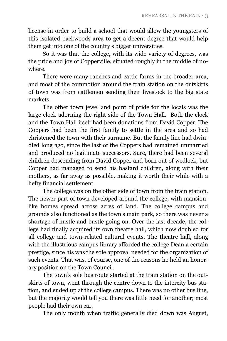license in order to build a school that would allow the youngsters of this isolated backwoods area to get a decent degree that would help them get into one of the country"s bigger universities.

So it was that the college, with its wide variety of degrees, was the pride and joy of Copperville, situated roughly in the middle of nowhere.

There were many ranches and cattle farms in the broader area, and most of the commotion around the train station on the outskirts of town was from cattlemen sending their livestock to the big state markets.

The other town jewel and point of pride for the locals was the large clock adorning the right side of the Town Hall. Both the clock and the Town Hall itself had been donations from David Copper. The Coppers had been the first family to settle in the area and so had christened the town with their surname. But the family line had dwindled long ago, since the last of the Coppers had remained unmarried and produced no legitimate successors. Sure, there had been several children descending from David Copper and born out of wedlock, but Copper had managed to send his bastard children, along with their mothers, as far away as possible, making it worth their while with a hefty financial settlement.

The college was on the other side of town from the train station. The newer part of town developed around the college, with mansionlike homes spread across acres of land. The college campus and grounds also functioned as the town"s main park, so there was never a shortage of hustle and bustle going on. Over the last decade, the college had finally acquired its own theatre hall, which now doubled for all college and town-related cultural events. The theatre hall, along with the illustrious campus library afforded the college Dean a certain prestige, since his was the sole approval needed for the organization of such events. That was, of course, one of the reasons he held an honorary position on the Town Council.

The town's sole bus route started at the train station on the outskirts of town, went through the centre down to the intercity bus station, and ended up at the college campus. There was no other bus line, but the majority would tell you there was little need for another; most people had their own car.

The only month when traffic generally died down was August,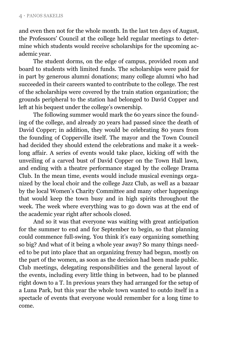and even then not for the whole month. In the last ten days of August, the Professors" Council at the college held regular meetings to determine which students would receive scholarships for the upcoming academic year.

The student dorms, on the edge of campus, provided room and board to students with limited funds. The scholarships were paid for in part by generous alumni donations; many college alumni who had succeeded in their careers wanted to contribute to the college. The rest of the scholarships were covered by the train station organization; the grounds peripheral to the station had belonged to David Copper and left at his bequest under the college's ownership.

The following summer would mark the 60 years since the founding of the college, and already 20 years had passed since the death of David Copper; in addition, they would be celebrating 80 years from the founding of Copperville itself. The mayor and the Town Council had decided they should extend the celebrations and make it a weeklong affair. A series of events would take place, kicking off with the unveiling of a carved bust of David Copper on the Town Hall lawn, and ending with a theatre performance staged by the college Drama Club. In the mean time, events would include musical evenings organized by the local choir and the college Jazz Club, as well as a bazaar by the local Women"s Charity Committee and many other happenings that would keep the town busy and in high spirits throughout the week. The week where everything was to go down was at the end of the academic year right after schools closed.

And so it was that everyone was waiting with great anticipation for the summer to end and for September to begin, so that planning could commence full-swing. You think it's easy organizing something so big? And what of it being a whole year away? So many things needed to be put into place that an organizing frenzy had begun, mostly on the part of the women, as soon as the decision had been made public. Club meetings, delegating responsibilities and the general layout of the events, including every little thing in between, had to be planned right down to a T. In previous years they had arranged for the setup of a Luna Park, but this year the whole town wanted to outdo itself in a spectacle of events that everyone would remember for a long time to come.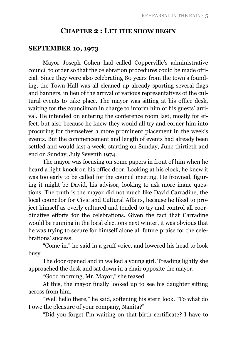#### **CHAPTER 2 : LET THE SHOW BEGIN**

#### **SEPTEMBER 10, 1973**

Mayor Joseph Cohen had called Copperville's administrative council to order so that the celebration procedures could be made official. Since they were also celebrating 80 years from the town"s founding, the Town Hall was all cleaned up already sporting several flags and banners, in lieu of the arrival of various representatives of the cultural events to take place. The mayor was sitting at his office desk, waiting for the councilman in charge to inform him of his guests' arrival. He intended on entering the conference room last, mostly for effect, but also because he knew they would all try and corner him into procuring for themselves a more prominent placement in the week"s events. But the commencement and length of events had already been settled and would last a week, starting on Sunday, June thirtieth and end on Sunday, July Seventh 1974.

The mayor was focusing on some papers in front of him when he heard a light knock on his office door. Looking at his clock, he knew it was too early to be called for the council meeting. He frowned, figuring it might be David, his advisor, looking to ask more inane questions. The truth is the mayor did not much like David Carradine, the local councilor for Civic and Cultural Affairs, because he liked to project himself as overly cultured and tended to try and control all coordinative efforts for the celebrations. Given the fact that Carradine would be running in the local elections next winter, it was obvious that he was trying to secure for himself alone all future praise for the celebrations' success.

"Come in," he said in a gruff voice, and lowered his head to look busy.

The door opened and in walked a young girl. Treading lightly she approached the desk and sat down in a chair opposite the mayor.

"Good morning, Mr. Mayor," she teased.

At this, the mayor finally looked up to see his daughter sitting across from him.

"Well hello there," he said, softening his stern look. "To what do I owe the pleasure of your company, Nanita?"

"Did you forget I"m waiting on that birth certificate? I have to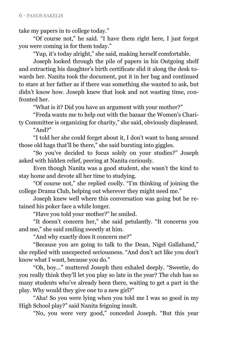take my papers in to college today."

"Of course not," he said. "I have them right here, I just forgot you were coming in for them today."

"Yup, it"s today alright," she said, making herself comfortable.

Joseph looked through the pile of papers in his Outgoing shelf and extracting his daughter"s birth certificate slid it along the desk towards her. Nanita took the document, put it in her bag and continued to stare at her father as if there was something she wanted to ask, but didn"t know how. Joseph knew that look and not wasting time, confronted her.

"What is it? Did you have an argument with your mother?"

"Freda wants me to help out with the bazaar the Women"s Charity Committee is organizing for charity," she said, obviously displeased.

"And?"

"I told her she could forget about it, I don"t want to hang around those old hags that"ll be there," she said bursting into giggles.

"So you've decided to focus solely on your studies?" Joseph asked with hidden relief, peering at Nanita curiously.

Even though Nanita was a good student, she wasn"t the kind to stay home and devote all her time to studying.

"Of course not," she replied coolly. "I"m thinking of joining the college Drama Club, helping out wherever they might need me."

Joseph knew well where this conversation was going but he retained his poker face a while longer.

"Have you told your mother?" he smiled.

"It doesn"t concern her," she said petulantly. "It concerns you and me," she said smiling sweetly at him.

"And why exactly does it concern me?"

"Because you are going to talk to the Dean, Nigel Gallahand," she replied with unexpected seriousness. "And don"t act like you don"t know what I want, because you do."

"Oh, boy…" muttered Joseph then exhaled deeply. "Sweetie, do you really think they"ll let you play so late in the year? The club has so many students who"ve already been there, waiting to get a part in the play. Why would they give one to a new girl?"

"Aha! So you were lying when you told me I was so good in my High School play?" said Nanita feigning insult.

"No, you were very good," conceded Joseph. "But this year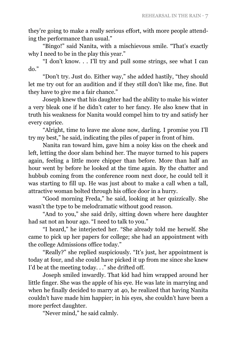they"re going to make a really serious effort, with more people attending the performance than usual."

"Bingo!" said Nanita, with a mischievous smile. "That's exactly why I need to be in the play this year."

"I don"t know. . . I"ll try and pull some strings, see what I can do."

"Don"t try. Just do. Either way," she added hastily, "they should let me try out for an audition and if they still don"t like me, fine. But they have to give me a fair chance."

Joseph knew that his daughter had the ability to make his winter a very bleak one if he didn"t cater to her fancy. He also knew that in truth his weakness for Nanita would compel him to try and satisfy her every caprice.

"Alright, time to leave me alone now, darling. I promise you I"ll try my best," he said, indicating the piles of paper in front of him.

Nanita ran toward him, gave him a noisy kiss on the cheek and left, letting the door slam behind her. The mayor turned to his papers again, feeling a little more chipper than before. More than half an hour went by before he looked at the time again. By the chatter and hubbub coming from the conference room next door, he could tell it was starting to fill up. He was just about to make a call when a tall, attractive woman bolted through his office door in a hurry.

"Good morning Freda," he said, looking at her quizzically. She wasn"t the type to be melodramatic without good reason.

"And to you," she said drily, sitting down where here daughter had sat not an hour ago. "I need to talk to you."

"I heard," he interjected her. "She already told me herself. She came to pick up her papers for college; she had an appointment with the college Admissions office today."

"Really?" she replied suspiciously. "It"s just, her appointment is today at four, and she could have picked it up from me since she knew I'd be at the meeting today. . ." she drifted off.

Joseph smiled inwardly. That kid had him wrapped around her little finger. She was the apple of his eye. He was late in marrying and when he finally decided to marry at 40, he realized that having Nanita couldn"t have made him happier; in his eyes, she couldn"t have been a more perfect daughter.

"Never mind," he said calmly.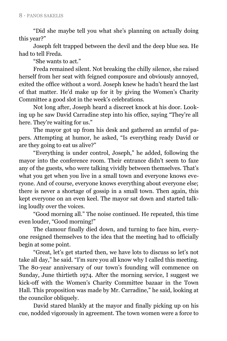"Did she maybe tell you what she"s planning on actually doing this year?"

Joseph felt trapped between the devil and the deep blue sea. He had to tell Freda.

"She wants to act."

Freda remained silent. Not breaking the chilly silence, she raised herself from her seat with feigned composure and obviously annoyed, exited the office without a word. Joseph knew he hadn"t heard the last of that matter. He"d make up for it by giving the Women"s Charity Committee a good slot in the week"s celebrations.

Not long after, Joseph heard a discreet knock at his door. Looking up he saw David Carradine step into his office, saying "They"re all here. They're waiting for us."

The mayor got up from his desk and gathered an armful of papers. Attempting at humor, he asked, "Is everything ready David or are they going to eat us alive?"

"Everything is under control, Joseph," he added, following the mayor into the conference room. Their entrance didn"t seem to faze any of the guests, who were talking vividly between themselves. That"s what you get when you live in a small town and everyone knows everyone. And of course, everyone knows everything about everyone else; there is never a shortage of gossip in a small town. Then again, this kept everyone on an even keel. The mayor sat down and started talking loudly over the voices.

"Good morning all." The noise continued. He repeated, this time even louder, "Good morning!"

The clamour finally died down, and turning to face him, everyone resigned themselves to the idea that the meeting had to officially begin at some point.

"Great, let's get started then, we have lots to discuss so let's not take all day," he said. "I'm sure you all know why I called this meeting. The 80-year anniversary of our town's founding will commence on Sunday, June thirtieth 1974. After the morning service, I suggest we kick-off with the Women"s Charity Committee bazaar in the Town Hall. This proposition was made by Mr. Carradine," he said, looking at the councilor obliquely.

David stared blankly at the mayor and finally picking up on his cue, nodded vigorously in agreement. The town women were a force to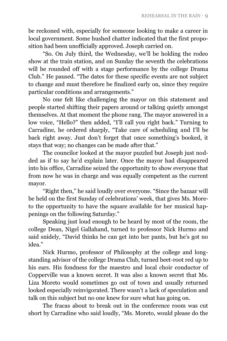be reckoned with, especially for someone looking to make a career in local government. Some hushed chatter indicated that the first proposition had been unofficially approved. Joseph carried on.

"So. On July third, the Wednesday, we"ll be holding the rodeo show at the train station, and on Sunday the seventh the celebrations will be rounded off with a stage performance by the college Drama Club." He paused. "The dates for these specific events are not subject to change and must therefore be finalized early on, since they require particular conditions and arrangements."

No one felt like challenging the mayor on this statement and people started shifting their papers around or talking quietly amongst themselves. At that moment the phone rang. The mayor answered in a low voice, "Hello?" then added, "I"ll call you right back." Turning to Carradine, he ordered sharply, "Take care of scheduling and I"ll be back right away. Just don"t forget that once something"s booked, it stays that way; no changes can be made after that."

The councilor looked at the mayor puzzled but Joseph just nodded as if to say he'd explain later. Once the mayor had disappeared into his office, Carradine seized the opportunity to show everyone that from now he was in charge and was equally competent as the current mayor.

"Right then," he said loudly over everyone. "Since the bazaar will be held on the first Sunday of celebrations' week, that gives Ms. Moreto the opportunity to have the square available for her musical happenings on the following Saturday."

Speaking just loud enough to be heard by most of the room, the college Dean, Nigel Gallahand, turned to professor Nick Hurmo and said snidely, "David thinks he can get into her pants, but he"s got no idea."

Nick Hurmo, professor of Philosophy at the college and longstanding advisor of the college Drama Club, turned beet-root red up to his ears. His fondness for the maestro and local choir conductor of Copperville was a known secret. It was also a known secret that Ms. Liza Moreto would sometimes go out of town and usually returned looked especially reinvigorated. There wasn't a lack of speculation and talk on this subject but no one knew for sure what has going on.

The fracas about to break out in the conference room was cut short by Carradine who said loudly, "Ms. Moreto, would please do the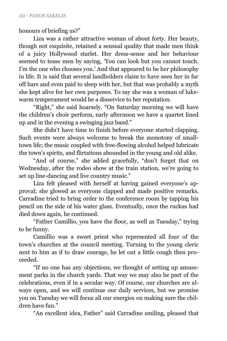honours of briefing us?"

Liza was a rather attractive woman of about forty. Her beauty, though not exquisite, retained a sensual quality that made men think of a juicy Hollywood starlet. Her dress-sense and her behaviour seemed to tease men by saying, "You can look but you cannot touch. I'm the one who chooses you.' And that appeared to be her philosophy in life. It is said that several landholders claim to have seen her in far off bars and even paid to sleep with her, but that was probably a myth she kept alive for her own purposes. To say she was a woman of lukewarm temperament would be a disservice to her reputation.

"Right," she said hoarsely. "On Saturday morning we will have the children"s choir perform, early afternoon we have a quartet lined up and in the evening a swinging jazz band."

She didn"t have time to finish before everyone started clapping. Such events were always welcome to break the monotony of smalltown life; the music coupled with free-flowing alcohol helped lubricate the town"s spirits, and flirtations abounded in the young and old alike.

"And of course," she added gracefully, "don't forget that on Wednesday, after the rodeo show at the train station, we"re going to set up line-dancing and live country music."

Liza felt pleased with herself at having gained everyone's approval; she glowed as everyone clapped and made positive remarks. Carradine tried to bring order to the conference room by tapping his pencil on the side of his water glass. Eventually, once the ruckus had died down again, he continued.

"Father Camillio, you have the floor, as well as Tuesday," trying to be funny.

Camillio was a sweet priest who represented all four of the town"s churches at the council meeting. Turning to the young cleric next to him as if to draw courage, he let out a little cough then proceeded.

"If no one has any objections, we thought of setting up amusement parks in the church yards. That way we may also be part of the celebrations, even if in a secular way. Of course, our churches are always open, and we will continue our daily services, but we promise you on Tuesday we will focus all our energies on making sure the children have fun."

"An excellent idea, Father" said Carradine smiling, pleased that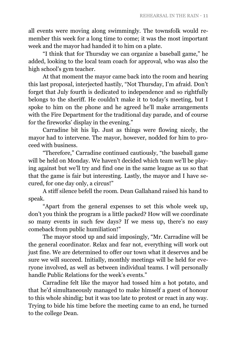all events were moving along swimmingly. The townsfolk would remember this week for a long time to come; it was the most important week and the mayor had handed it to him on a plate.

"I think that for Thursday we can organize a baseball game," he added, looking to the local team coach for approval, who was also the high school's gym teacher.

At that moment the mayor came back into the room and hearing this last proposal, interjected hastily, "Not Thursday, I"m afraid. Don"t forget that July fourth is dedicated to independence and so rightfully belongs to the sheriff. He couldn't make it to today's meeting, but I spoke to him on the phone and he agreed he"ll make arrangements with the Fire Department for the traditional day parade, and of course for the fireworks' display in the evening."

Carradine bit his lip. Just as things were flowing nicely, the mayor had to intervene. The mayor, however, nodded for him to proceed with business.

"Therefore," Carradine continued cautiously, "the baseball game will be held on Monday. We haven't decided which team we'll be playing against but we"ll try and find one in the same league as us so that that the game is fair but interesting. Lastly, the mayor and I have secured, for one day only, a circus!"

A stiff silence befell the room. Dean Gallahand raised his hand to speak.

"Apart from the general expenses to set this whole week up, don"t you think the program is a little packed? How will we coordinate so many events in such few days? If we mess up, there's no easy comeback from public humiliation!"

The mayor stood up and said imposingly, "Mr. Carradine will be the general coordinator. Relax and fear not, everything will work out just fine. We are determined to offer our town what it deserves and be sure we will succeed. Initially, monthly meetings will be held for everyone involved, as well as between individual teams. I will personally handle Public Relations for the week's events."

Carradine felt like the mayor had tossed him a hot potato, and that he"d simultaneously managed to make himself a guest of honour to this whole shindig; but it was too late to protest or react in any way. Trying to bide his time before the meeting came to an end, he turned to the college Dean.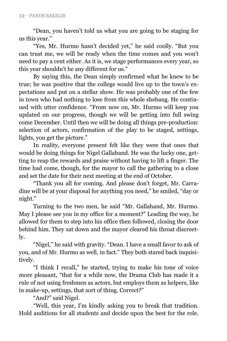"Dean, you haven"t told us what you are going to be staging for us this year."

"Yes, Mr. Hurmo hasn"t decided yet," he said coolly. "But you can trust me, we will be ready when the time comes and you won"t need to pay a cent either. As it is, we stage performances every year, so this year shouldn"t be any different for us."

By saying this, the Dean simply confirmed what he knew to be true; he was positive that the college would live up to the town's expectations and put on a stellar show. He was probably one of the few in town who had nothing to lose from this whole shebang. He continued with utter confidence. "From now on, Mr. Hurmo will keep you updated on our progress, though we will be getting into full swing come December. Until then we will be doing all things pre-production: selection of actors, confirmation of the play to be staged, settings, lights, you get the picture."

In reality, everyone present felt like they were that ones that would be doing things for Nigel Gallahand. He was the lucky one, getting to reap the rewards and praise without having to lift a finger. The time had come, though, for the mayor to call the gathering to a close and set the date for their next meeting at the end of October.

"Thank you all for coming. And please don"t forget, Mr. Carradine will be at your disposal for anything you need," he smiled, "day or night."

Turning to the two men, he said "Mr. Gallahand, Mr. Hurmo. May I please see you in my office for a moment?" Leading the way, he allowed for them to step into his office then followed, closing the door behind him. They sat down and the mayor cleared his throat discreetly.

"Nigel," he said with gravity. "Dean. I have a small favor to ask of you, and of Mr. Hurmo as well, in fact." They both stared back inquisitively.

"I think I recall," he started, trying to make his tone of voice more pleasant, "that for a while now, the Drama Club has made it a rule of not using freshmen as actors, but employs them as helpers, like in make-up, settings, that sort of thing. Correct?"

"And?" said Nigel.

"Well, this year, I"m kindly asking you to break that tradition. Hold auditions for all students and decide upon the best for the role.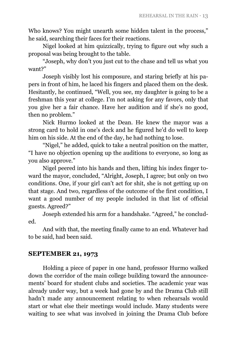Who knows? You might unearth some hidden talent in the process," he said, searching their faces for their reactions.

Nigel looked at him quizzically, trying to figure out why such a proposal was being brought to the table.

"Joseph, why don"t you just cut to the chase and tell us what you want?"

Joseph visibly lost his composure, and staring briefly at his papers in front of him, he laced his fingers and placed them on the desk. Hesitantly, he continued, "Well, you see, my daughter is going to be a freshman this year at college. I"m not asking for any favors, only that you give her a fair chance. Have her audition and if she's no good, then no problem."

Nick Hurmo looked at the Dean. He knew the mayor was a strong card to hold in one"s deck and he figured he"d do well to keep him on his side. At the end of the day, he had nothing to lose.

"Nigel," he added, quick to take a neutral position on the matter, "I have no objection opening up the auditions to everyone, so long as you also approve."

Nigel peered into his hands and then, lifting his index finger toward the mayor, concluded, "Alright, Joseph, I agree; but only on two conditions. One, if your girl can"t act for shit, she is not getting up on that stage. And two, regardless of the outcome of the first condition, I want a good number of my people included in that list of official guests. Agreed?"

Joseph extended his arm for a handshake. "Agreed," he concluded.

And with that, the meeting finally came to an end. Whatever had to be said, had been said.

### **SEPTEMBER 21, 1973**

Holding a piece of paper in one hand, professor Hurmo walked down the corridor of the main college building toward the announcements" board for student clubs and societies. The academic year was already under way, but a week had gone by and the Drama Club still hadn"t made any announcement relating to when rehearsals would start or what else their meetings would include. Many students were waiting to see what was involved in joining the Drama Club before